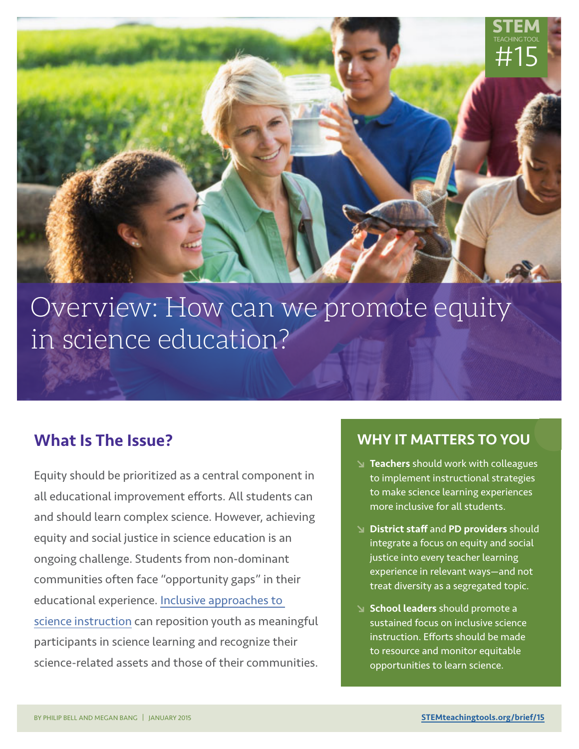

# Overview: How can we promote equity in science education?

## What Is The Issue?

Equity should be prioritized as a central component in all educational improvement efforts. All students can and should learn complex science. However, achieving equity and social justice in science education is an ongoing challenge. Students from non-dominant communities often face "opportunity gaps" in their educational experience. [Inclusive approaches to](http://STEMteachingtools.org/link/1501)  [science instruction](http://STEMteachingtools.org/link/1501) can reposition youth as meaningful participants in science learning and recognize their science-related assets and those of their communities.

### WHY IT MATTERS TO YOU

**•**

- Teachers should work with colleagues to implement instructional strategies to make science learning experiences more inclusive for all students.
- District staff and PD providers should integrate a focus on equity and social justice into every teacher learning experience in relevant ways—and not treat diversity as a segregated topic.
- School leaders should promote a sustained focus on inclusive science instruction. Efforts should be made to resource and monitor equitable opportunities to learn science.